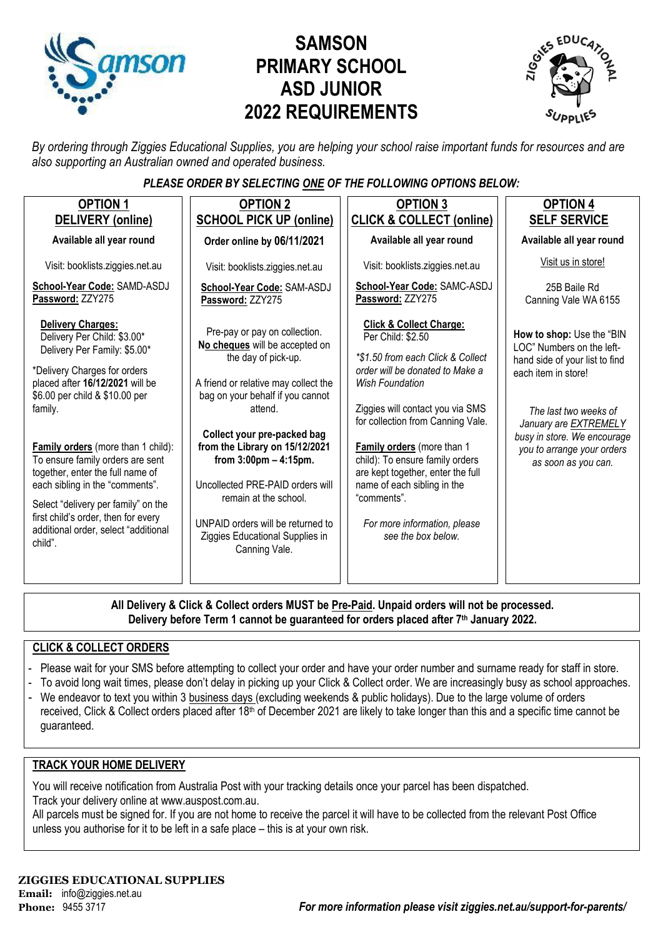

# **SAMSON PRIMARY SCHOOL ASD JUNIOR 2022 REQUIREMENTS**



*By ordering through Ziggies Educational Supplies, you are helping your school raise important funds for resources and are also supporting an Australian owned and operated business.*

#### *PLEASE ORDER BY SELECTING ONE OF THE FOLLOWING OPTIONS BELOW:*

| <b>OPTION 1</b><br>DELIVERY (online)                                                                                                                                                                                                                                                                                                                                                                                                                                                             | <b>OPTION 2</b><br><b>SCHOOL PICK UP (online)</b>                                                                                                                                                                                                                                                                                                                                                                                                | <b>OPTION 3</b><br><b>CLICK &amp; COLLECT (online)</b>                                                                                                                                                                                                                                                                                                                                                                                       | <b>OPTION 4</b><br><b>SELF SERVICE</b>                                                                                                                                                                                                                |
|--------------------------------------------------------------------------------------------------------------------------------------------------------------------------------------------------------------------------------------------------------------------------------------------------------------------------------------------------------------------------------------------------------------------------------------------------------------------------------------------------|--------------------------------------------------------------------------------------------------------------------------------------------------------------------------------------------------------------------------------------------------------------------------------------------------------------------------------------------------------------------------------------------------------------------------------------------------|----------------------------------------------------------------------------------------------------------------------------------------------------------------------------------------------------------------------------------------------------------------------------------------------------------------------------------------------------------------------------------------------------------------------------------------------|-------------------------------------------------------------------------------------------------------------------------------------------------------------------------------------------------------------------------------------------------------|
| Available all year round                                                                                                                                                                                                                                                                                                                                                                                                                                                                         | Order online by 06/11/2021                                                                                                                                                                                                                                                                                                                                                                                                                       | Available all year round                                                                                                                                                                                                                                                                                                                                                                                                                     | Available all year round                                                                                                                                                                                                                              |
| Visit: booklists.ziggies.net.au                                                                                                                                                                                                                                                                                                                                                                                                                                                                  | Visit: booklists.ziggies.net.au                                                                                                                                                                                                                                                                                                                                                                                                                  | Visit: booklists.ziggies.net.au                                                                                                                                                                                                                                                                                                                                                                                                              | Visit us in store!                                                                                                                                                                                                                                    |
| School-Year Code: SAMD-ASDJ<br>Password: ZZY275                                                                                                                                                                                                                                                                                                                                                                                                                                                  | School-Year Code: SAM-ASDJ<br>Password: ZZY275                                                                                                                                                                                                                                                                                                                                                                                                   | School-Year Code: SAMC-ASDJ<br>Password: ZZY275                                                                                                                                                                                                                                                                                                                                                                                              | 25B Baile Rd<br>Canning Vale WA 6155                                                                                                                                                                                                                  |
| <b>Delivery Charges:</b><br>Delivery Per Child: \$3.00*<br>Delivery Per Family: \$5.00*<br>*Delivery Charges for orders<br>placed after 16/12/2021 will be<br>\$6.00 per child & \$10.00 per<br>family.<br><b>Family orders</b> (more than 1 child):<br>To ensure family orders are sent<br>together, enter the full name of<br>each sibling in the "comments".<br>Select "delivery per family" on the<br>first child's order, then for every<br>additional order, select "additional<br>child". | Pre-pay or pay on collection.<br>No cheques will be accepted on<br>the day of pick-up.<br>A friend or relative may collect the<br>bag on your behalf if you cannot<br>attend.<br>Collect your pre-packed bag<br>from the Library on 15/12/2021<br>from $3:00 \text{pm} - 4:15 \text{pm}$ .<br>Uncollected PRE-PAID orders will<br>remain at the school.<br>UNPAID orders will be returned to<br>Ziggies Educational Supplies in<br>Canning Vale. | <b>Click &amp; Collect Charge:</b><br>Per Child: \$2.50<br>*\$1.50 from each Click & Collect<br>order will be donated to Make a<br><b>Wish Foundation</b><br>Ziggies will contact you via SMS<br>for collection from Canning Vale.<br>Family orders (more than 1<br>child): To ensure family orders<br>are kept together, enter the full<br>name of each sibling in the<br>"comments".<br>For more information, please<br>see the box below. | How to shop: Use the "BIN<br>LOC" Numbers on the left-<br>hand side of your list to find<br>each item in store!<br>The last two weeks of<br>January are EXTREMELY<br>busy in store. We encourage<br>you to arrange your orders<br>as soon as you can. |
|                                                                                                                                                                                                                                                                                                                                                                                                                                                                                                  |                                                                                                                                                                                                                                                                                                                                                                                                                                                  |                                                                                                                                                                                                                                                                                                                                                                                                                                              |                                                                                                                                                                                                                                                       |

**All Delivery & Click & Collect orders MUST be Pre-Paid. Unpaid orders will not be processed. Delivery before Term 1 cannot be guaranteed for orders placed after 7th January 2022.**

#### **CLICK & COLLECT ORDERS**

- Please wait for your SMS before attempting to collect your order and have your order number and surname ready for staff in store.
- To avoid long wait times, please don't delay in picking up your Click & Collect order. We are increasingly busy as school approaches.
- We endeavor to text you within 3 business days (excluding weekends & public holidays). Due to the large volume of orders received, Click & Collect orders placed after 18<sup>th</sup> of December 2021 are likely to take longer than this and a specific time cannot be guaranteed.

#### **TRACK YOUR HOME DELIVERY**

You will receive notification from Australia Post with your tracking details once your parcel has been dispatched. Track your delivery online a[t www.auspost.com.au.](http://www.auspost.com.au/)

All parcels must be signed for. If you are not home to receive the parcel it will have to be collected from the relevant Post Office unless you authorise for it to be left in a safe place – this is at your own risk.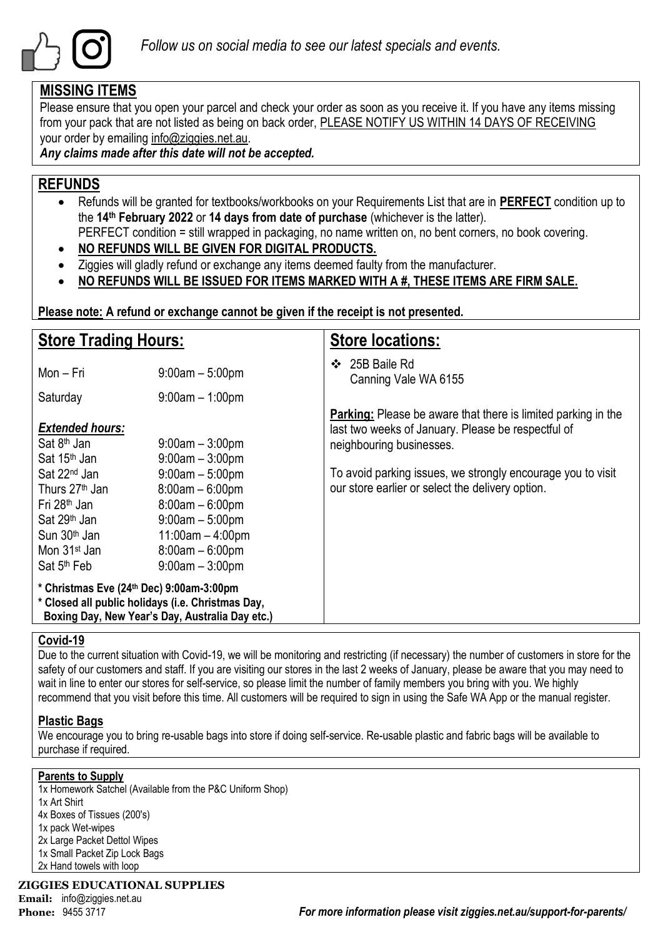

### **MISSING ITEMS**

Please ensure that you open your parcel and check your order as soon as you receive it. If you have any items missing from your pack that are not listed as being on back order, PLEASE NOTIFY US WITHIN 14 DAYS OF RECEIVING your order by emailing info@ziggies.net.au.

*Any claims made after this date will not be accepted.*

## **REFUNDS**

- Refunds will be granted for textbooks/workbooks on your Requirements List that are in **PERFECT** condition up to the **14th February 2022** or **14 days from date of purchase** (whichever is the latter). PERFECT condition = still wrapped in packaging, no name written on, no bent corners, no book covering.
- **NO REFUNDS WILL BE GIVEN FOR DIGITAL PRODUCTS.**
- Ziggies will gladly refund or exchange any items deemed faulty from the manufacturer.
- **NO REFUNDS WILL BE ISSUED FOR ITEMS MARKED WITH A #, THESE ITEMS ARE FIRM SALE.**

**Please note: A refund or exchange cannot be given if the receipt is not presented.**

| <b>Store Trading Hours:</b>                                                                                                                                                                                                                                                        |                                                                                                                                                                                               | <b>Store locations:</b>                                                                                                                                                                                                                                                   |  |  |
|------------------------------------------------------------------------------------------------------------------------------------------------------------------------------------------------------------------------------------------------------------------------------------|-----------------------------------------------------------------------------------------------------------------------------------------------------------------------------------------------|---------------------------------------------------------------------------------------------------------------------------------------------------------------------------------------------------------------------------------------------------------------------------|--|--|
| Mon – Fri                                                                                                                                                                                                                                                                          | $9:00am - 5:00pm$                                                                                                                                                                             | 25B Baile Rd<br>$\mathbf{r}$<br>Canning Vale WA 6155                                                                                                                                                                                                                      |  |  |
| Saturday                                                                                                                                                                                                                                                                           | $9:00$ am $-1:00$ pm                                                                                                                                                                          |                                                                                                                                                                                                                                                                           |  |  |
| <b>Extended hours:</b><br>Sat 8 <sup>th</sup> Jan<br>Sat 15 <sup>th</sup> Jan<br>Sat 22 <sup>nd</sup> Jan<br>Thurs 27 <sup>th</sup> Jan<br>Fri 28 <sup>th</sup> Jan<br>Sat 29 <sup>th</sup> Jan<br>Sun 30 <sup>th</sup> Jan<br>Mon 31 <sup>st</sup> Jan<br>Sat 5 <sup>th</sup> Feb | $9:00am - 3:00pm$<br>$9:00am - 3:00pm$<br>$9:00$ am $-5:00$ pm<br>$8:00am - 6:00pm$<br>$8:00am - 6:00pm$<br>$9:00am - 5:00pm$<br>$11:00am - 4:00pm$<br>$8:00am - 6:00pm$<br>$9:00am - 3:00pm$ | <b>Parking:</b> Please be aware that there is limited parking in the<br>last two weeks of January. Please be respectful of<br>neighbouring businesses.<br>To avoid parking issues, we strongly encourage you to visit<br>our store earlier or select the delivery option. |  |  |
| * Christmas Eve (24th Dec) 9:00am-3:00pm<br>* Closed all public holidays (i.e. Christmas Day,                                                                                                                                                                                      | Boxing Day, New Year's Day, Australia Day etc.)                                                                                                                                               |                                                                                                                                                                                                                                                                           |  |  |

#### **Covid-19**

Due to the current situation with Covid-19, we will be monitoring and restricting (if necessary) the number of customers in store for the safety of our customers and staff. If you are visiting our stores in the last 2 weeks of January, please be aware that you may need to wait in line to enter our stores for self-service, so please limit the number of family members you bring with you. We highly recommend that you visit before this time. All customers will be required to sign in using the Safe WA App or the manual register.

#### **Plastic Bags**

We encourage you to bring re-usable bags into store if doing self-service. Re-usable plastic and fabric bags will be available to purchase if required.

#### **Parents to Supply**

1x Homework Satchel (Available from the P&C Uniform Shop) 1x Art Shirt 4x Boxes of Tissues (200's) 1x pack Wet-wipes 2x Large Packet Dettol Wipes 1x Small Packet Zip Lock Bags 2x Hand towels with loop

**ZIGGIES EDUCATIONAL SUPPLIES**

**Email:** info@ziggies.net.au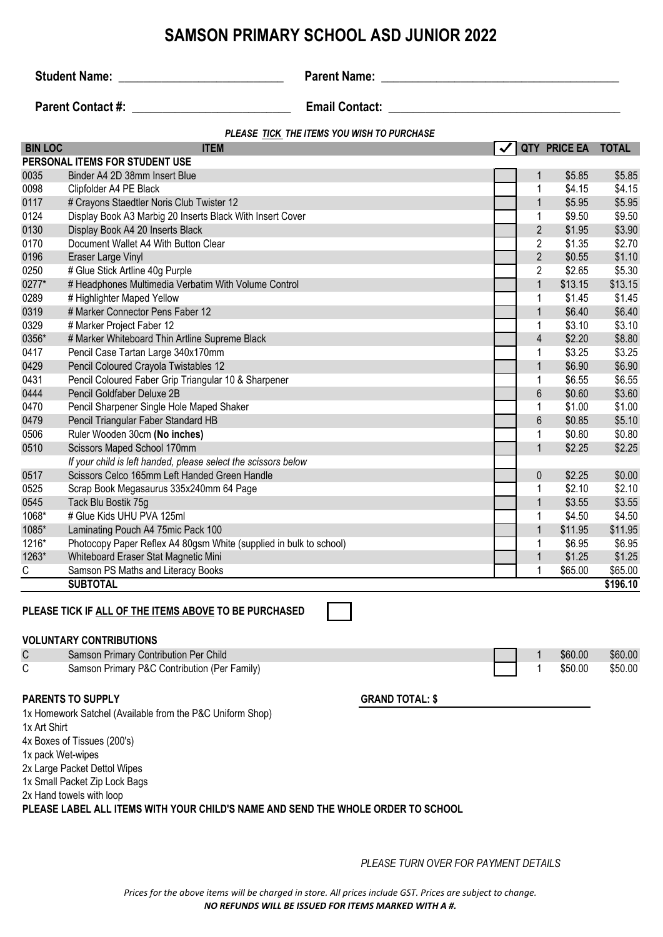## **SAMSON PRIMARY SCHOOL ASD JUNIOR 2022**

**Student Name:** \_\_\_\_\_\_\_\_\_\_\_\_\_\_\_\_\_\_\_\_\_\_\_\_\_\_\_ **Parent Name: \_\_\_\_\_\_\_\_\_\_\_\_\_\_\_\_\_\_\_\_\_\_\_\_\_\_\_\_\_\_\_\_\_\_\_\_\_\_\_**

**Parent Contact #:** \_\_\_\_\_\_\_\_\_\_\_\_\_\_\_\_\_\_\_\_\_\_\_\_\_\_ **Email Contact: \_\_\_\_\_\_\_\_\_\_\_\_\_\_\_\_\_\_\_\_\_\_\_\_\_\_\_\_\_\_\_\_\_\_\_\_\_\_**

#### *PLEASE TICK THE ITEMS YOU WISH TO PURCHASE*

| <b>BIN LOC</b> | <b>ITEM</b>                                                                             |                | QTY PRICE EA | <b>TOTAL</b> |
|----------------|-----------------------------------------------------------------------------------------|----------------|--------------|--------------|
|                | PERSONAL ITEMS FOR STUDENT USE                                                          |                |              |              |
| 0035           | Binder A4 2D 38mm Insert Blue                                                           | $\mathbf{1}$   | \$5.85       | \$5.85       |
| 0098           | Clipfolder A4 PE Black                                                                  | $\mathbf 1$    | \$4.15       | \$4.15       |
| 0117           | # Crayons Staedtler Noris Club Twister 12                                               | $\mathbf{1}$   | \$5.95       | \$5.95       |
| 0124           | Display Book A3 Marbig 20 Inserts Black With Insert Cover                               | $\mathbf 1$    | \$9.50       | \$9.50       |
| 0130           | Display Book A4 20 Inserts Black                                                        | $\overline{2}$ | \$1.95       | \$3.90       |
| 0170           | Document Wallet A4 With Button Clear                                                    | $\overline{2}$ | \$1.35       | \$2.70       |
| 0196           | Eraser Large Vinyl                                                                      | $\overline{2}$ | \$0.55       | \$1.10       |
| 0250           | # Glue Stick Artline 40g Purple                                                         | $\overline{2}$ | \$2.65       | \$5.30       |
| 0277*          | # Headphones Multimedia Verbatim With Volume Control                                    | $\mathbf{1}$   | \$13.15      | \$13.15      |
| 0289           | # Highlighter Maped Yellow                                                              | $\mathbf 1$    | \$1.45       | \$1.45       |
| 0319           | # Marker Connector Pens Faber 12                                                        | $\mathbf{1}$   | \$6.40       | \$6.40       |
| 0329           | # Marker Project Faber 12                                                               | 1              | \$3.10       | \$3.10       |
| 0356*          | # Marker Whiteboard Thin Artline Supreme Black                                          | $\overline{4}$ | \$2.20       | \$8.80       |
| 0417           | Pencil Case Tartan Large 340x170mm                                                      | 1              | \$3.25       | \$3.25       |
| 0429           | Pencil Coloured Crayola Twistables 12                                                   | $\mathbf{1}$   | \$6.90       | \$6.90       |
| 0431           | Pencil Coloured Faber Grip Triangular 10 & Sharpener                                    | 1              | \$6.55       | \$6.55       |
| 0444           | Pencil Goldfaber Deluxe 2B                                                              | 6              | \$0.60       | \$3.60       |
| 0470           | Pencil Sharpener Single Hole Maped Shaker                                               | $\mathbf{1}$   | \$1.00       | \$1.00       |
| 0479           | Pencil Triangular Faber Standard HB                                                     | 6              | \$0.85       | \$5.10       |
| 0506           | Ruler Wooden 30cm (No inches)                                                           | 1              | \$0.80       | \$0.80       |
| 0510           | Scissors Maped School 170mm                                                             | $\mathbf{1}$   | \$2.25       | \$2.25       |
|                | If your child is left handed, please select the scissors below                          |                |              |              |
| 0517           | Scissors Celco 165mm Left Handed Green Handle                                           | 0              | \$2.25       | \$0.00       |
| 0525           | Scrap Book Megasaurus 335x240mm 64 Page                                                 | 1              | \$2.10       | \$2.10       |
| 0545           | Tack Blu Bostik 75g                                                                     | $\mathbf{1}$   | \$3.55       | \$3.55       |
| 1068*          | # Glue Kids UHU PVA 125ml                                                               | 1              | \$4.50       | \$4.50       |
| 1085*          | Laminating Pouch A4 75mic Pack 100                                                      | $\mathbf{1}$   | \$11.95      | \$11.95      |
| 1216*          | Photocopy Paper Reflex A4 80gsm White (supplied in bulk to school)                      | $\mathbf 1$    | \$6.95       | \$6.95       |
| 1263*          | Whiteboard Eraser Stat Magnetic Mini                                                    | $\mathbf{1}$   | \$1.25       | \$1.25       |
| С              | Samson PS Maths and Literacy Books                                                      | 1              | \$65.00      | \$65.00      |
|                | <b>SUBTOTAL</b>                                                                         |                |              | \$196.10     |
|                | PLEASE TICK IF ALL OF THE ITEMS ABOVE TO BE PURCHASED<br><b>VOLUNTARY CONTRIBUTIONS</b> |                |              |              |
| $\mathsf C$    | Samson Primary Contribution Per Child                                                   | $\mathbf{1}$   | \$60.00      | \$60.00      |
| С              | Samson Primary P&C Contribution (Per Family)                                            | $\mathbf{1}$   | \$50.00      | \$50.00      |
|                | <b>PARENTS TO SUPPLY</b><br><b>GRAND TOTAL: \$</b>                                      |                |              |              |

1x Homework Satchel (Available from the P&C Uniform Shop)

1x Art Shirt

4x Boxes of Tissues (200's)

1x pack Wet-wipes

2x Large Packet Dettol Wipes

1x Small Packet Zip Lock Bags

2x Hand towels with loop

**PLEASE LABEL ALL ITEMS WITH YOUR CHILD'S NAME AND SEND THE WHOLE ORDER TO SCHOOL**

*PLEASE TURN OVER FOR PAYMENT DETAILS*